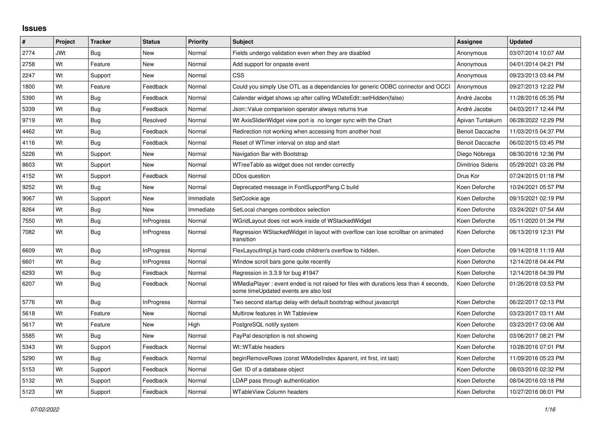## **Issues**

| #    | Project | <b>Tracker</b> | <b>Status</b>     | <b>Priority</b> | <b>Subject</b>                                                                                                                 | <b>Assignee</b>        | <b>Updated</b>      |
|------|---------|----------------|-------------------|-----------------|--------------------------------------------------------------------------------------------------------------------------------|------------------------|---------------------|
| 2774 | JWt     | Bug            | New               | Normal          | Fields undergo validation even when they are disabled                                                                          | Anonymous              | 03/07/2014 10:07 AM |
| 2758 | Wt      | Feature        | <b>New</b>        | Normal          | Add support for onpaste event                                                                                                  | Anonymous              | 04/01/2014 04:21 PM |
| 2247 | Wt      | Support        | New               | Normal          | CSS                                                                                                                            | Anonymous              | 09/23/2013 03:44 PM |
| 1800 | Wt      | Feature        | Feedback          | Normal          | Could you simply Use OTL as a dependancies for generic ODBC connector and OCCI                                                 | Anonymous              | 09/27/2013 12:22 PM |
| 5390 | Wt      | Bug            | Feedback          | Normal          | Calendar widget shows up after calling WDateEdit::setHidden(false)                                                             | André Jacobs           | 11/28/2016 05:35 PM |
| 5339 | Wt      | Bug            | Feedback          | Normal          | Json::Value comparision operator always returns true                                                                           | André Jacobs           | 04/03/2017 12:44 PM |
| 9719 | Wt      | Bug            | Resolved          | Normal          | Wt AxisSliderWidget view port is no longer sync with the Chart                                                                 | Apivan Tuntakurn       | 06/28/2022 12:29 PM |
| 4462 | Wt      | <b>Bug</b>     | Feedback          | Normal          | Redirection not working when accessing from another host                                                                       | <b>Benoit Daccache</b> | 11/03/2015 04:37 PM |
| 4116 | Wt      | Bug            | Feedback          | Normal          | Reset of WTimer interval on stop and start                                                                                     | <b>Benoit Daccache</b> | 06/02/2015 03:45 PM |
| 5226 | Wt      | Support        | New               | Normal          | Navigation Bar with Bootstrap                                                                                                  | Diego Nóbrega          | 08/30/2016 12:36 PM |
| 8603 | Wt      | Support        | <b>New</b>        | Normal          | WTreeTable as widget does not render correctly                                                                                 | Dimitrios Sideris      | 05/29/2021 03:26 PM |
| 4152 | Wt      | Support        | Feedback          | Normal          | DDos question                                                                                                                  | Drus Kor               | 07/24/2015 01:18 PM |
| 9252 | Wt      | Bug            | <b>New</b>        | Normal          | Deprecated message in FontSupportPang.C build                                                                                  | Koen Deforche          | 10/24/2021 05:57 PM |
| 9067 | Wt      | Support        | New               | Immediate       | SetCookie age                                                                                                                  | Koen Deforche          | 09/15/2021 02:19 PM |
| 8264 | Wt      | Bug            | New               | Immediate       | SetLocal changes combobox selection                                                                                            | Koen Deforche          | 03/24/2021 07:54 AM |
| 7550 | Wt      | Bug            | <b>InProgress</b> | Normal          | WGridLayout does not work inside of WStackedWidget                                                                             | Koen Deforche          | 05/11/2020 01:34 PM |
| 7082 | Wt      | Bug            | InProgress        | Normal          | Regression WStackedWidget in layout with overflow can lose scrollbar on animated<br>transition                                 | Koen Deforche          | 06/13/2019 12:31 PM |
| 6609 | Wt      | Bug            | <b>InProgress</b> | Normal          | FlexLayoutImpl.js hard-code children's overflow to hidden.                                                                     | Koen Deforche          | 09/14/2018 11:19 AM |
| 6601 | Wt      | Bug            | <b>InProgress</b> | Normal          | Window scroll bars gone quite recently                                                                                         | Koen Deforche          | 12/14/2018 04:44 PM |
| 6293 | Wt      | Bug            | Feedback          | Normal          | Regression in 3.3.9 for bug #1947                                                                                              | Koen Deforche          | 12/14/2018 04:39 PM |
| 6207 | Wt      | Bug            | Feedback          | Normal          | WMediaPlayer: event ended is not raised for files with durations less than 4 seconds,<br>some timeUpdated events are also lost | Koen Deforche          | 01/26/2018 03:53 PM |
| 5776 | Wt      | Bug            | InProgress        | Normal          | Two second startup delay with default bootstrap without javascript                                                             | Koen Deforche          | 06/22/2017 02:13 PM |
| 5618 | Wt      | Feature        | New               | Normal          | Multirow features in Wt Tableview                                                                                              | Koen Deforche          | 03/23/2017 03:11 AM |
| 5617 | Wt      | Feature        | New               | High            | PostgreSQL notify system                                                                                                       | Koen Deforche          | 03/23/2017 03:06 AM |
| 5585 | Wt      | Bug            | <b>New</b>        | Normal          | PayPal description is not showing                                                                                              | Koen Deforche          | 03/06/2017 08:21 PM |
| 5343 | Wt      | Support        | Feedback          | Normal          | Wt::WTable headers                                                                                                             | Koen Deforche          | 10/28/2016 07:01 PM |
| 5290 | Wt      | Bug            | Feedback          | Normal          | beginRemoveRows (const WModelIndex &parent, int first, int last)                                                               | Koen Deforche          | 11/09/2016 05:23 PM |
| 5153 | Wt      | Support        | Feedback          | Normal          | Get ID of a database object                                                                                                    | Koen Deforche          | 08/03/2016 02:32 PM |
| 5132 | Wt      | Support        | Feedback          | Normal          | LDAP pass through authentication                                                                                               | Koen Deforche          | 08/04/2016 03:18 PM |
| 5123 | Wt      | Support        | Feedback          | Normal          | <b>WTableView Column headers</b>                                                                                               | Koen Deforche          | 10/27/2016 06:01 PM |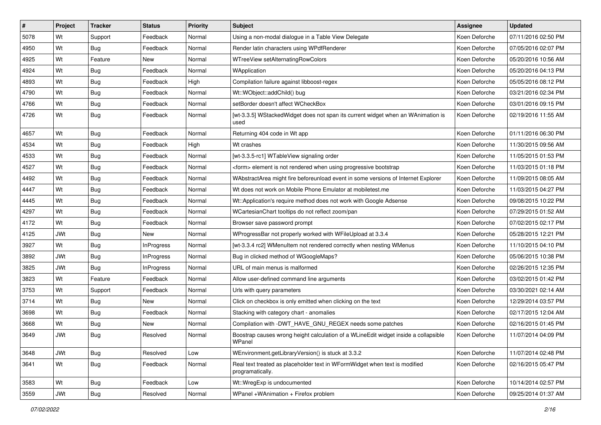| $\vert$ # | Project    | <b>Tracker</b> | <b>Status</b>     | Priority | <b>Subject</b>                                                                                 | <b>Assignee</b> | <b>Updated</b>      |
|-----------|------------|----------------|-------------------|----------|------------------------------------------------------------------------------------------------|-----------------|---------------------|
| 5078      | Wt         | Support        | Feedback          | Normal   | Using a non-modal dialogue in a Table View Delegate                                            | Koen Deforche   | 07/11/2016 02:50 PM |
| 4950      | Wt         | Bug            | Feedback          | Normal   | Render latin characters using WPdfRenderer                                                     | Koen Deforche   | 07/05/2016 02:07 PM |
| 4925      | Wt         | Feature        | New               | Normal   | WTreeView setAlternatingRowColors                                                              | Koen Deforche   | 05/20/2016 10:56 AM |
| 4924      | Wt         | <b>Bug</b>     | Feedback          | Normal   | WApplication                                                                                   | Koen Deforche   | 05/20/2016 04:13 PM |
| 4893      | Wt         | Bug            | Feedback          | High     | Compilation failure against libboost-regex                                                     | Koen Deforche   | 05/05/2016 08:12 PM |
| 4790      | Wt         | <b>Bug</b>     | Feedback          | Normal   | Wt::WObject::addChild() bug                                                                    | Koen Deforche   | 03/21/2016 02:34 PM |
| 4766      | Wt         | <b>Bug</b>     | Feedback          | Normal   | setBorder doesn't affect WCheckBox                                                             | Koen Deforche   | 03/01/2016 09:15 PM |
| 4726      | Wt         | Bug            | Feedback          | Normal   | [wt-3.3.5] WStackedWidget does not span its current widget when an WAnimation is<br>used       | Koen Deforche   | 02/19/2016 11:55 AM |
| 4657      | Wt         | <b>Bug</b>     | Feedback          | Normal   | Returning 404 code in Wt app                                                                   | Koen Deforche   | 01/11/2016 06:30 PM |
| 4534      | Wt         | Bug            | Feedback          | High     | Wt crashes                                                                                     | Koen Deforche   | 11/30/2015 09:56 AM |
| 4533      | Wt         | <b>Bug</b>     | Feedback          | Normal   | [wt-3.3.5-rc1] WTableView signaling order                                                      | Koen Deforche   | 11/05/2015 01:53 PM |
| 4527      | Wt         | Bug            | Feedback          | Normal   | <form> element is not rendered when using progressive bootstrap</form>                         | Koen Deforche   | 11/03/2015 01:18 PM |
| 4492      | Wt         | Bug            | Feedback          | Normal   | WAbstractArea might fire beforeunload event in some versions of Internet Explorer              | Koen Deforche   | 11/09/2015 08:05 AM |
| 4447      | Wt         | <b>Bug</b>     | Feedback          | Normal   | Wt does not work on Mobile Phone Emulator at mobiletest.me                                     | Koen Deforche   | 11/03/2015 04:27 PM |
| 4445      | Wt         | <b>Bug</b>     | Feedback          | Normal   | Wt::Application's require method does not work with Google Adsense                             | Koen Deforche   | 09/08/2015 10:22 PM |
| 4297      | Wt         | <b>Bug</b>     | Feedback          | Normal   | WCartesianChart tooltips do not reflect zoom/pan                                               | Koen Deforche   | 07/29/2015 01:52 AM |
| 4172      | Wt         | Bug            | Feedback          | Normal   | Browser save password prompt                                                                   | Koen Deforche   | 07/02/2015 02:17 PM |
| 4125      | <b>JWt</b> | <b>Bug</b>     | New               | Normal   | WProgressBar not properly worked with WFileUpload at 3.3.4                                     | Koen Deforche   | 05/28/2015 12:21 PM |
| 3927      | Wt         | <b>Bug</b>     | InProgress        | Normal   | [wt-3.3.4 rc2] WMenuItem not rendered correctly when nesting WMenus                            | Koen Deforche   | 11/10/2015 04:10 PM |
| 3892      | <b>JWt</b> | Bug            | <b>InProgress</b> | Normal   | Bug in clicked method of WGoogleMaps?                                                          | Koen Deforche   | 05/06/2015 10:38 PM |
| 3825      | <b>JWt</b> | Bug            | <b>InProgress</b> | Normal   | URL of main menus is malformed                                                                 | Koen Deforche   | 02/26/2015 12:35 PM |
| 3823      | Wt         | Feature        | Feedback          | Normal   | Allow user-defined command line arguments                                                      | Koen Deforche   | 03/02/2015 01:42 PM |
| 3753      | Wt         | Support        | Feedback          | Normal   | Urls with query parameters                                                                     | Koen Deforche   | 03/30/2021 02:14 AM |
| 3714      | Wt         | <b>Bug</b>     | New               | Normal   | Click on checkbox is only emitted when clicking on the text                                    | Koen Deforche   | 12/29/2014 03:57 PM |
| 3698      | Wt         | Bug            | Feedback          | Normal   | Stacking with category chart - anomalies                                                       | Koen Deforche   | 02/17/2015 12:04 AM |
| 3668      | Wt         | <b>Bug</b>     | New               | Normal   | Compilation with -DWT HAVE GNU REGEX needs some patches                                        | Koen Deforche   | 02/16/2015 01:45 PM |
| 3649      | <b>JWt</b> | <b>Bug</b>     | Resolved          | Normal   | Boostrap causes wrong height calculation of a WLineEdit widget inside a collapsible<br>WPanel  | Koen Deforche   | 11/07/2014 04:09 PM |
| 3648      | <b>JWt</b> | <b>Bug</b>     | Resolved          | Low      | WEnvironment.getLibraryVersion() is stuck at 3.3.2                                             | Koen Deforche   | 11/07/2014 02:48 PM |
| 3641      | Wt         | Bug            | Feedback          | Normal   | Real text treated as placeholder text in WFormWidget when text is modified<br>programatically. | Koen Deforche   | 02/16/2015 05:47 PM |
| 3583      | Wt         | Bug            | Feedback          | Low      | Wt::WregExp is undocumented                                                                    | Koen Deforche   | 10/14/2014 02:57 PM |
| 3559      | <b>JWt</b> | Bug            | Resolved          | Normal   | WPanel +WAnimation + Firefox problem                                                           | Koen Deforche   | 09/25/2014 01:37 AM |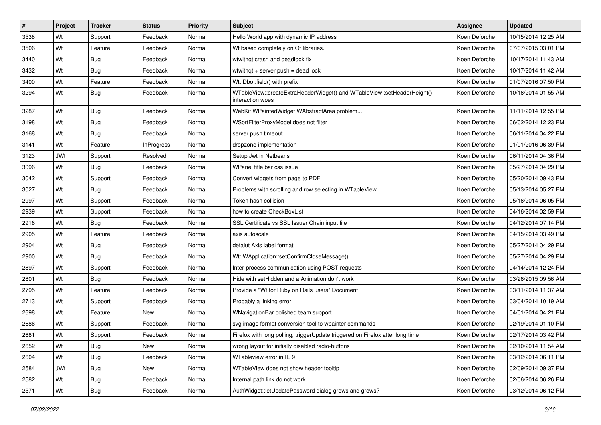| $\vert$ # | Project    | <b>Tracker</b> | <b>Status</b>     | <b>Priority</b> | Subject                                                                                     | Assignee      | <b>Updated</b>      |
|-----------|------------|----------------|-------------------|-----------------|---------------------------------------------------------------------------------------------|---------------|---------------------|
| 3538      | Wt         | Support        | Feedback          | Normal          | Hello World app with dynamic IP address                                                     | Koen Deforche | 10/15/2014 12:25 AM |
| 3506      | Wt         | Feature        | Feedback          | Normal          | Wt based completely on Qt libraries.                                                        | Koen Deforche | 07/07/2015 03:01 PM |
| 3440      | Wt         | Bug            | Feedback          | Normal          | wtwithgt crash and deadlock fix                                                             | Koen Deforche | 10/17/2014 11:43 AM |
| 3432      | Wt         | <b>Bug</b>     | Feedback          | Normal          | wtwithgt $+$ server push = dead lock                                                        | Koen Deforche | 10/17/2014 11:42 AM |
| 3400      | Wt         | Feature        | Feedback          | Normal          | Wt::Dbo::field() with prefix                                                                | Koen Deforche | 01/07/2016 07:50 PM |
| 3294      | Wt         | <b>Bug</b>     | Feedback          | Normal          | WTableView::createExtraHeaderWidget() and WTableView::setHeaderHeight()<br>interaction woes | Koen Deforche | 10/16/2014 01:55 AM |
| 3287      | Wt         | Bug            | Feedback          | Normal          | WebKit WPaintedWidget WAbstractArea problem                                                 | Koen Deforche | 11/11/2014 12:55 PM |
| 3198      | Wt         | Bug            | Feedback          | Normal          | WSortFilterProxyModel does not filter                                                       | Koen Deforche | 06/02/2014 12:23 PM |
| 3168      | Wt         | <b>Bug</b>     | Feedback          | Normal          | server push timeout                                                                         | Koen Deforche | 06/11/2014 04:22 PM |
| 3141      | Wt         | Feature        | <b>InProgress</b> | Normal          | dropzone implementation                                                                     | Koen Deforche | 01/01/2016 06:39 PM |
| 3123      | <b>JWt</b> | Support        | Resolved          | Normal          | Setup Jwt in Netbeans                                                                       | Koen Deforche | 06/11/2014 04:36 PM |
| 3096      | Wt         | <b>Bug</b>     | Feedback          | Normal          | WPanel title bar css issue                                                                  | Koen Deforche | 05/27/2014 04:29 PM |
| 3042      | Wt         | Support        | Feedback          | Normal          | Convert widgets from page to PDF                                                            | Koen Deforche | 05/20/2014 09:43 PM |
| 3027      | Wt         | Bug            | Feedback          | Normal          | Problems with scrolling and row selecting in WTableView                                     | Koen Deforche | 05/13/2014 05:27 PM |
| 2997      | Wt         | Support        | Feedback          | Normal          | Token hash collision                                                                        | Koen Deforche | 05/16/2014 06:05 PM |
| 2939      | Wt         | Support        | Feedback          | Normal          | how to create CheckBoxList                                                                  | Koen Deforche | 04/16/2014 02:59 PM |
| 2916      | Wt         | Bug            | Feedback          | Normal          | SSL Certificate vs SSL Issuer Chain input file                                              | Koen Deforche | 04/12/2014 07:14 PM |
| 2905      | Wt         | Feature        | Feedback          | Normal          | axis autoscale                                                                              | Koen Deforche | 04/15/2014 03:49 PM |
| 2904      | Wt         | Bug            | Feedback          | Normal          | defalut Axis label format                                                                   | Koen Deforche | 05/27/2014 04:29 PM |
| 2900      | Wt         | Bug            | Feedback          | Normal          | Wt::WApplication::setConfirmCloseMessage()                                                  | Koen Deforche | 05/27/2014 04:29 PM |
| 2897      | Wt         | Support        | Feedback          | Normal          | Inter-process communication using POST requests                                             | Koen Deforche | 04/14/2014 12:24 PM |
| 2801      | Wt         | <b>Bug</b>     | Feedback          | Normal          | Hide with setHidden and a Animation don't work                                              | Koen Deforche | 03/26/2015 09:56 AM |
| 2795      | Wt         | Feature        | Feedback          | Normal          | Provide a "Wt for Ruby on Rails users" Document                                             | Koen Deforche | 03/11/2014 11:37 AM |
| 2713      | Wt         | Support        | Feedback          | Normal          | Probably a linking error                                                                    | Koen Deforche | 03/04/2014 10:19 AM |
| 2698      | Wt         | Feature        | New               | Normal          | WNavigationBar polished team support                                                        | Koen Deforche | 04/01/2014 04:21 PM |
| 2686      | Wt         | Support        | Feedback          | Normal          | svg image format conversion tool to wpainter commands                                       | Koen Deforche | 02/19/2014 01:10 PM |
| 2681      | Wt         | Support        | Feedback          | Normal          | Firefox with long polling, triggerUpdate triggered on Firefox after long time               | Koen Deforche | 02/17/2014 03:42 PM |
| 2652      | Wt         | <b>Bug</b>     | New               | Normal          | wrong layout for initially disabled radio-buttons                                           | Koen Deforche | 02/10/2014 11:54 AM |
| 2604      | Wt         | <b>Bug</b>     | Feedback          | Normal          | WTableview error in IE 9                                                                    | Koen Deforche | 03/12/2014 06:11 PM |
| 2584      | JWt        | <b>Bug</b>     | New               | Normal          | WTableView does not show header tooltip                                                     | Koen Deforche | 02/09/2014 09:37 PM |
| 2582      | Wt         | Bug            | Feedback          | Normal          | Internal path link do not work                                                              | Koen Deforche | 02/06/2014 06:26 PM |
| 2571      | Wt         | Bug            | Feedback          | Normal          | AuthWidget::letUpdatePassword dialog grows and grows?                                       | Koen Deforche | 03/12/2014 06:12 PM |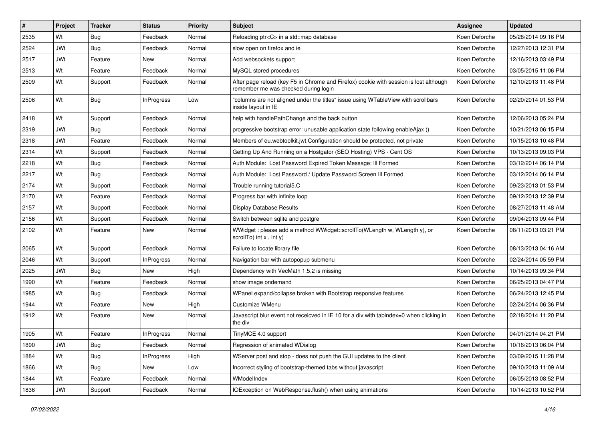| #    | Project    | <b>Tracker</b> | <b>Status</b>     | <b>Priority</b> | <b>Subject</b>                                                                                                                | Assignee      | <b>Updated</b>      |
|------|------------|----------------|-------------------|-----------------|-------------------------------------------------------------------------------------------------------------------------------|---------------|---------------------|
| 2535 | Wt         | Bug            | Feedback          | Normal          | Reloading ptr <c> in a std::map database</c>                                                                                  | Koen Deforche | 05/28/2014 09:16 PM |
| 2524 | <b>JWt</b> | Bug            | Feedback          | Normal          | slow open on firefox and ie                                                                                                   | Koen Deforche | 12/27/2013 12:31 PM |
| 2517 | <b>JWt</b> | Feature        | New               | Normal          | Add websockets support                                                                                                        | Koen Deforche | 12/16/2013 03:49 PM |
| 2513 | Wt         | Feature        | Feedback          | Normal          | MySQL stored procedures                                                                                                       | Koen Deforche | 03/05/2015 11:06 PM |
| 2509 | Wt         | Support        | Feedback          | Normal          | After page reload (key F5 in Chrome and Firefox) cookie with session is lost although<br>remember me was checked during login | Koen Deforche | 12/10/2013 11:48 PM |
| 2506 | Wt         | Bug            | InProgress        | Low             | "columns are not aligned under the titles" issue using WTableView with scrollbars<br>inside layout in IE                      | Koen Deforche | 02/20/2014 01:53 PM |
| 2418 | Wt         | Support        | Feedback          | Normal          | help with handlePathChange and the back button                                                                                | Koen Deforche | 12/06/2013 05:24 PM |
| 2319 | <b>JWt</b> | Bug            | Feedback          | Normal          | progressive bootstrap error: unusable application state following enableAjax ()                                               | Koen Deforche | 10/21/2013 06:15 PM |
| 2318 | <b>JWt</b> | Feature        | Feedback          | Normal          | Members of eu.webtoolkit.jwt.Configuration should be protected, not private                                                   | Koen Deforche | 10/15/2013 10:48 PM |
| 2314 | Wt         | Support        | Feedback          | Normal          | Getting Up And Running on a Hostgator (SEO Hosting) VPS - Cent OS                                                             | Koen Deforche | 10/13/2013 09:03 PM |
| 2218 | Wt         | Bug            | Feedback          | Normal          | Auth Module: Lost Password Expired Token Message: Ill Formed                                                                  | Koen Deforche | 03/12/2014 06:14 PM |
| 2217 | Wt         | Bug            | Feedback          | Normal          | Auth Module: Lost Password / Update Password Screen III Formed                                                                | Koen Deforche | 03/12/2014 06:14 PM |
| 2174 | Wt         | Support        | Feedback          | Normal          | Trouble running tutorial5.C                                                                                                   | Koen Deforche | 09/23/2013 01:53 PM |
| 2170 | Wt         | Feature        | Feedback          | Normal          | Progress bar with infinite loop                                                                                               | Koen Deforche | 09/12/2013 12:39 PM |
| 2157 | Wt         | Support        | Feedback          | Normal          | Display Database Results                                                                                                      | Koen Deforche | 08/27/2013 11:48 AM |
| 2156 | Wt         | Support        | Feedback          | Normal          | Switch between sqlite and postgre                                                                                             | Koen Deforche | 09/04/2013 09:44 PM |
| 2102 | Wt         | Feature        | New               | Normal          | WWidget: please add a method WWidget::scrollTo(WLength w, WLength y), or<br>scrollTo( int x, int y)                           | Koen Deforche | 08/11/2013 03:21 PM |
| 2065 | Wt         | Support        | Feedback          | Normal          | Failure to locate library file                                                                                                | Koen Deforche | 08/13/2013 04:16 AM |
| 2046 | Wt         | Support        | <b>InProgress</b> | Normal          | Navigation bar with autopopup submenu                                                                                         | Koen Deforche | 02/24/2014 05:59 PM |
| 2025 | <b>JWt</b> | <b>Bug</b>     | New               | High            | Dependency with VecMath 1.5.2 is missing                                                                                      | Koen Deforche | 10/14/2013 09:34 PM |
| 1990 | Wt         | Feature        | Feedback          | Normal          | show image ondemand                                                                                                           | Koen Deforche | 06/25/2013 04:47 PM |
| 1985 | Wt         | Bug            | Feedback          | Normal          | WPanel expand/collapse broken with Bootstrap responsive features                                                              | Koen Deforche | 06/24/2013 12:45 PM |
| 1944 | Wt         | Feature        | New               | High            | Customize WMenu                                                                                                               | Koen Deforche | 02/24/2014 06:36 PM |
| 1912 | Wt         | Feature        | New               | Normal          | Javascript blur event not receicved in IE 10 for a div with tabindex=0 when clicking in<br>the div                            | Koen Deforche | 02/18/2014 11:20 PM |
| 1905 | Wt         | Feature        | <b>InProgress</b> | Normal          | TinyMCE 4.0 support                                                                                                           | Koen Deforche | 04/01/2014 04:21 PM |
| 1890 | <b>JWt</b> | <b>Bug</b>     | Feedback          | Normal          | Regression of animated WDialog                                                                                                | Koen Deforche | 10/16/2013 06:04 PM |
| 1884 | Wt         | <b>Bug</b>     | <b>InProgress</b> | High            | WServer post and stop - does not push the GUI updates to the client                                                           | Koen Deforche | 03/09/2015 11:28 PM |
| 1866 | Wt         | Bug            | New               | Low             | Incorrect styling of bootstrap-themed tabs without javascript                                                                 | Koen Deforche | 09/10/2013 11:09 AM |
| 1844 | Wt         | Feature        | Feedback          | Normal          | WModelIndex                                                                                                                   | Koen Deforche | 06/05/2013 08:52 PM |
| 1836 | <b>JWt</b> | Support        | Feedback          | Normal          | IOException on WebResponse.flush() when using animations                                                                      | Koen Deforche | 10/14/2013 10:52 PM |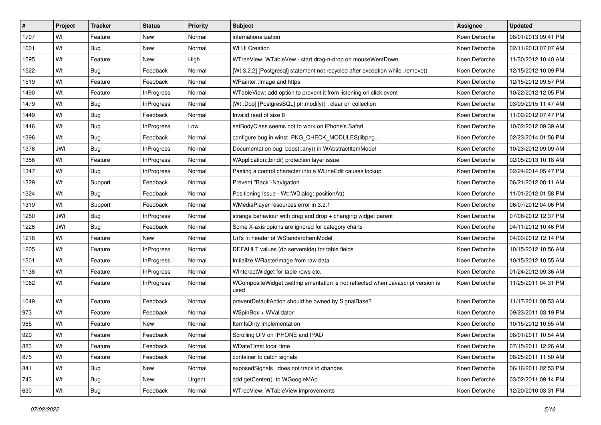| $\pmb{\#}$ | Project    | <b>Tracker</b> | <b>Status</b>     | <b>Priority</b> | <b>Subject</b>                                                                          | <b>Assignee</b> | <b>Updated</b>      |
|------------|------------|----------------|-------------------|-----------------|-----------------------------------------------------------------------------------------|-----------------|---------------------|
| 1707       | Wt         | Feature        | New               | Normal          | internationalization                                                                    | Koen Deforche   | 08/01/2013 09:41 PM |
| 1601       | Wt         | Bug            | <b>New</b>        | Normal          | Wt Ui Creation                                                                          | Koen Deforche   | 02/11/2013 07:07 AM |
| 1595       | Wt         | Feature        | New               | High            | WTreeView, WTableVew - start drag-n-drop on mouseWentDown                               | Koen Deforche   | 11/30/2012 10:40 AM |
| 1522       | Wt         | Bug            | Feedback          | Normal          | [Wt 3.2.2] [Postgresql] statement not recycled after exception while .remove()          | Koen Deforche   | 12/15/2012 10:09 PM |
| 1519       | Wt         | Feature        | Feedback          | Normal          | WPainter:: Image and https                                                              | Koen Deforche   | 12/15/2012 09:57 PM |
| 1490       | Wt         | Feature        | <b>InProgress</b> | Normal          | WTableView: add option to prevent it from listening on click event                      | Koen Deforche   | 10/22/2012 12:05 PM |
| 1479       | Wt         | <b>Bug</b>     | <b>InProgress</b> | Normal          | [Wt::Dbo] [PostgresSQL] ptr.modify() : clear on collection                              | Koen Deforche   | 03/09/2015 11:47 AM |
| 1449       | Wt         | Bug            | Feedback          | Normal          | Invalid read of size 8                                                                  | Koen Deforche   | 11/02/2012 07:47 PM |
| 1446       | Wt         | Bug            | <b>InProgress</b> | Low             | setBodyClass seems not to work on iPhone's Safari                                       | Koen Deforche   | 10/02/2012 09:39 AM |
| 1396       | Wt         | <b>Bug</b>     | Feedback          | Normal          | configure bug in winst PKG_CHECK_MODULES(libpng                                         | Koen Deforche   | 02/23/2014 01:56 PM |
| 1376       | <b>JWt</b> | Bug            | <b>InProgress</b> | Normal          | Documentation bug: boost::any() in WAbstractItemModel                                   | Koen Deforche   | 10/23/2012 09:09 AM |
| 1356       | Wt         | Feature        | <b>InProgress</b> | Normal          | WApplication::bind() protection layer issue                                             | Koen Deforche   | 02/05/2013 10:18 AM |
| 1347       | Wt         | Bug            | <b>InProgress</b> | Normal          | Pasting a control character into a WLineEdit causes lockup                              | Koen Deforche   | 02/24/2014 05:47 PM |
| 1329       | Wt         | Support        | Feedback          | Normal          | Prevent "Back"-Navigation                                                               | Koen Deforche   | 06/21/2012 08:11 AM |
| 1324       | Wt         | Bug            | Feedback          | Normal          | Positioning Issue - Wt::WDialog::positionAt()                                           | Koen Deforche   | 11/01/2012 01:58 PM |
| 1319       | Wt         | Support        | Feedback          | Normal          | WMediaPlayer resources error in 3.2.1                                                   | Koen Deforche   | 06/07/2012 04:06 PM |
| 1250       | <b>JWt</b> | Bug            | <b>InProgress</b> | Normal          | strange behaviour with drag and drop $+$ changing widget parent                         | Koen Deforche   | 07/06/2012 12:37 PM |
| 1226       | <b>JWt</b> | Bug            | Feedback          | Normal          | Some X-axis opions are ignored for category charts                                      | Koen Deforche   | 04/11/2012 10:46 PM |
| 1218       | Wt         | Feature        | New               | Normal          | Url's in header of WStandardItemModel                                                   | Koen Deforche   | 04/03/2012 12:14 PM |
| 1205       | Wt         | Feature        | <b>InProgress</b> | Normal          | DEFAULT values (db serverside) for table fields                                         | Koen Deforche   | 10/15/2012 10:56 AM |
| 1201       | Wt         | Feature        | InProgress        | Normal          | Initialize WRasterImage from raw data                                                   | Koen Deforche   | 10/15/2012 10:55 AM |
| 1138       | Wt         | Feature        | <b>InProgress</b> | Normal          | WInteractWidget for table rows etc.                                                     | Koen Deforche   | 01/24/2012 09:36 AM |
| 1062       | Wt         | Feature        | <b>InProgress</b> | Normal          | WCompositeWidget::setImplementation is not reftected when Javascript version is<br>used | Koen Deforche   | 11/25/2011 04:31 PM |
| 1049       | Wt         | Feature        | Feedback          | Normal          | preventDefaultAction should be owned by SignalBase?                                     | Koen Deforche   | 11/17/2011 08:53 AM |
| 973        | Wt         | Feature        | Feedback          | Normal          | WSpinBox + WValidator                                                                   | Koen Deforche   | 09/23/2011 03:19 PM |
| 965        | Wt         | Feature        | New               | Normal          | ItemIsDirty implementation                                                              | Koen Deforche   | 10/15/2012 10:55 AM |
| 929        | Wt         | Feature        | Feedback          | Normal          | Scrolling DIV on IPHONE and IPAD                                                        | Koen Deforche   | 08/01/2011 10:54 AM |
| 883        | Wt         | Feature        | Feedback          | Normal          | WDateTime: local time                                                                   | Koen Deforche   | 07/15/2011 12:26 AM |
| 875        | Wt         | Feature        | Feedback          | Normal          | container to catch signals                                                              | Koen Deforche   | 08/25/2011 11:50 AM |
| 841        | Wt         | Bug            | New               | Normal          | exposedSignals_does not track id changes                                                | Koen Deforche   | 06/16/2011 02:53 PM |
| 743        | Wt         | <b>Bug</b>     | New               | Urgent          | add getCenter() to WGoogleMAp                                                           | Koen Deforche   | 03/02/2011 09:14 PM |
| 630        | Wt         | <b>Bug</b>     | Feedback          | Normal          | WTreeView, WTableView improvements                                                      | Koen Deforche   | 12/20/2010 03:31 PM |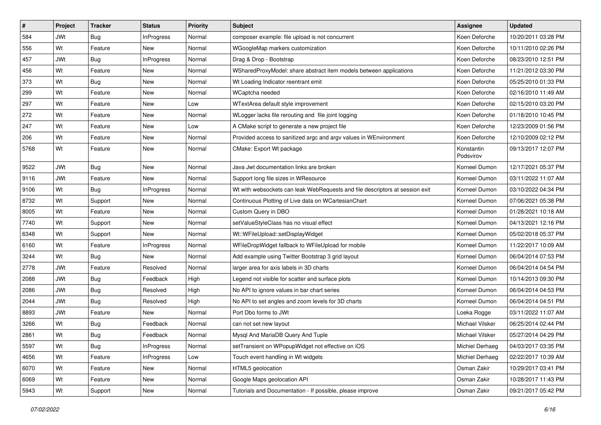| $\sharp$ | Project    | <b>Tracker</b> | <b>Status</b>     | <b>Priority</b> | Subject                                                                      | Assignee                | <b>Updated</b>      |
|----------|------------|----------------|-------------------|-----------------|------------------------------------------------------------------------------|-------------------------|---------------------|
| 584      | <b>JWt</b> | Bug            | <b>InProgress</b> | Normal          | composer example: file upload is not concurrent                              | Koen Deforche           | 10/20/2011 03:28 PM |
| 556      | Wt         | Feature        | <b>New</b>        | Normal          | WGoogleMap markers customization                                             | Koen Deforche           | 10/11/2010 02:26 PM |
| 457      | <b>JWt</b> | Bug            | <b>InProgress</b> | Normal          | Drag & Drop - Bootstrap                                                      | Koen Deforche           | 08/23/2010 12:51 PM |
| 456      | Wt         | Feature        | New               | Normal          | WSharedProxyModel: share abstract item models between applications           | Koen Deforche           | 11/21/2012 03:30 PM |
| 373      | Wt         | Bug            | <b>New</b>        | Normal          | Wt Loading Indicator reentrant emit                                          | Koen Deforche           | 05/25/2010 01:33 PM |
| 299      | Wt         | Feature        | New               | Normal          | WCaptcha needed                                                              | Koen Deforche           | 02/16/2010 11:49 AM |
| 297      | Wt         | Feature        | New               | Low             | WTextArea default style improvement                                          | Koen Deforche           | 02/15/2010 03:20 PM |
| 272      | Wt         | Feature        | New               | Normal          | WLogger lacks file rerouting and file joint logging                          | Koen Deforche           | 01/18/2010 10:45 PM |
| 247      | Wt         | Feature        | New               | Low             | A CMake script to generate a new project file                                | Koen Deforche           | 12/23/2009 01:56 PM |
| 206      | Wt         | Feature        | <b>New</b>        | Normal          | Provided access to sanitized argc and argv values in WEnvironment            | Koen Deforche           | 12/10/2009 02:12 PM |
| 5768     | Wt         | Feature        | New               | Normal          | CMake: Export Wt package                                                     | Konstantin<br>Podsvirov | 09/13/2017 12:07 PM |
| 9522     | <b>JWt</b> | <b>Bug</b>     | <b>New</b>        | Normal          | Java Jwt documentation links are broken                                      | Korneel Dumon           | 12/17/2021 05:37 PM |
| 9116     | <b>JWt</b> | Feature        | New               | Normal          | Support long file sizes in WResource                                         | Korneel Dumon           | 03/11/2022 11:07 AM |
| 9106     | Wt         | Bug            | <b>InProgress</b> | Normal          | Wt with websockets can leak WebRequests and file descriptors at session exit | Korneel Dumon           | 03/10/2022 04:34 PM |
| 8732     | Wt         | Support        | New               | Normal          | Continuous Plotting of Live data on WCartesianChart                          | Korneel Dumon           | 07/06/2021 05:38 PM |
| 8005     | Wt         | Feature        | New               | Normal          | Custom Query in DBO                                                          | Korneel Dumon           | 01/28/2021 10:18 AM |
| 7740     | Wt         | Support        | <b>New</b>        | Normal          | setValueStyleClass has no visual effect                                      | Korneel Dumon           | 04/13/2021 12:16 PM |
| 6348     | Wt         | Support        | New               | Normal          | Wt::WFileUpload::setDisplayWidget                                            | Korneel Dumon           | 05/02/2018 05:37 PM |
| 6160     | Wt         | Feature        | <b>InProgress</b> | Normal          | WFileDropWidget fallback to WFileUpload for mobile                           | Korneel Dumon           | 11/22/2017 10:09 AM |
| 3244     | Wt         | Bug            | New               | Normal          | Add example using Twitter Bootstrap 3 grid layout                            | Korneel Dumon           | 06/04/2014 07:53 PM |
| 2778     | <b>JWt</b> | Feature        | Resolved          | Normal          | larger area for axis labels in 3D charts                                     | Korneel Dumon           | 06/04/2014 04:54 PM |
| 2088     | <b>JWt</b> | Bug            | Feedback          | High            | Legend not visible for scatter and surface plots                             | Korneel Dumon           | 10/14/2013 09:30 PM |
| 2086     | <b>JWt</b> | Bug            | Resolved          | High            | No API to ignore values in bar chart series                                  | Korneel Dumon           | 06/04/2014 04:53 PM |
| 2044     | <b>JWt</b> | Bug            | Resolved          | High            | No API to set angles and zoom levels for 3D charts                           | Korneel Dumon           | 06/04/2014 04:51 PM |
| 8893     | <b>JWt</b> | Feature        | New               | Normal          | Port Dbo forms to JWt                                                        | Loeka Rogge             | 03/11/2022 11:07 AM |
| 3266     | Wt         | Bug            | Feedback          | Normal          | can not set new layout                                                       | Michael Vilsker         | 06/25/2014 02:44 PM |
| 2861     | Wt         | Bug            | Feedback          | Normal          | Mysql And MariaDB Query And Tuple                                            | <b>Michael Vilsker</b>  | 05/27/2014 04:29 PM |
| 5597     | Wt         | Bug            | InProgress        | Normal          | setTransient on WPopupWidget not effective on iOS                            | Michiel Derhaeg         | 04/03/2017 03:35 PM |
| 4656     | Wt         | Feature        | <b>InProgress</b> | Low             | Touch event handling in Wt widgets                                           | Michiel Derhaeg         | 02/22/2017 10:39 AM |
| 6070     | Wt         | Feature        | New               | Normal          | HTML5 geolocation                                                            | Osman Zakir             | 10/29/2017 03:41 PM |
| 6069     | Wt         | Feature        | New               | Normal          | Google Maps geolocation API                                                  | Osman Zakir             | 10/28/2017 11:43 PM |
| 5943     | Wt         | Support        | New               | Normal          | Tutorials and Documentation - If possible, please improve                    | Osman Zakir             | 09/21/2017 05:42 PM |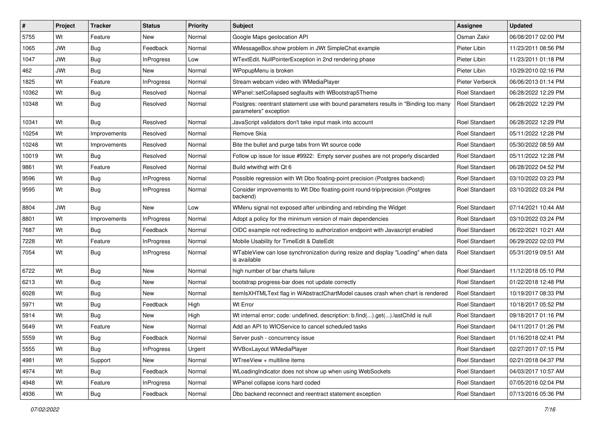| #     | Project    | <b>Tracker</b> | <b>Status</b>     | <b>Priority</b> | Subject                                                                                                       | <b>Assignee</b>       | <b>Updated</b>      |
|-------|------------|----------------|-------------------|-----------------|---------------------------------------------------------------------------------------------------------------|-----------------------|---------------------|
| 5755  | Wt         | Feature        | New               | Normal          | Google Maps geolocation API                                                                                   | Osman Zakir           | 06/08/2017 02:00 PM |
| 1065  | JWt        | Bug            | Feedback          | Normal          | WMessageBox.show problem in JWt SimpleChat example                                                            | Pieter Libin          | 11/23/2011 08:56 PM |
| 1047  | JWt        | <b>Bug</b>     | <b>InProgress</b> | Low             | WTextEdit. NullPointerException in 2nd rendering phase                                                        | Pieter Libin          | 11/23/2011 01:18 PM |
| 462   | <b>JWt</b> | <b>Bug</b>     | New               | Normal          | WPopupMenu is broken                                                                                          | Pieter Libin          | 10/29/2010 02:16 PM |
| 1825  | Wt         | Feature        | <b>InProgress</b> | Normal          | Stream webcam video with WMediaPlayer                                                                         | Pieter Verberck       | 06/06/2013 01:14 PM |
| 10362 | Wt         | <b>Bug</b>     | Resolved          | Normal          | WPanel::setCollapsed segfaults with WBootstrap5Theme                                                          | <b>Roel Standaert</b> | 06/28/2022 12:29 PM |
| 10348 | Wt         | Bug            | Resolved          | Normal          | Postgres: reentrant statement use with bound parameters results in "Binding too many<br>parameters" exception | Roel Standaert        | 06/28/2022 12:29 PM |
| 10341 | Wt         | Bug            | Resolved          | Normal          | JavaScript validators don't take input mask into account                                                      | Roel Standaert        | 06/28/2022 12:29 PM |
| 10254 | Wt         | Improvements   | Resolved          | Normal          | Remove Skia                                                                                                   | <b>Roel Standaert</b> | 05/11/2022 12:28 PM |
| 10248 | Wt         | Improvements   | Resolved          | Normal          | Bite the bullet and purge tabs from Wt source code                                                            | Roel Standaert        | 05/30/2022 08:59 AM |
| 10019 | Wt         | <b>Bug</b>     | Resolved          | Normal          | Follow up issue for issue #9922: Empty server pushes are not properly discarded                               | Roel Standaert        | 05/11/2022 12:28 PM |
| 9861  | Wt         | Feature        | Resolved          | Normal          | Build wtwithqt with Qt 6                                                                                      | <b>Roel Standaert</b> | 06/28/2022 04:52 PM |
| 9596  | Wt         | Bug            | <b>InProgress</b> | Normal          | Possible regression with Wt Dbo floating-point precision (Postgres backend)                                   | <b>Roel Standaert</b> | 03/10/2022 03:23 PM |
| 9595  | Wt         | <b>Bug</b>     | <b>InProgress</b> | Normal          | Consider improvements to Wt Dbo floating-point round-trip/precision (Postgres<br>backend)                     | Roel Standaert        | 03/10/2022 03:24 PM |
| 8804  | <b>JWt</b> | Bug            | New               | Low             | WMenu signal not exposed after unbinding and rebinding the Widget                                             | Roel Standaert        | 07/14/2021 10:44 AM |
| 8801  | Wt         | Improvements   | <b>InProgress</b> | Normal          | Adopt a policy for the minimum version of main dependencies                                                   | Roel Standaert        | 03/10/2022 03:24 PM |
| 7687  | Wt         | Bug            | Feedback          | Normal          | OIDC example not redirecting to authorization endpoint with Javascript enabled                                | <b>Roel Standaert</b> | 06/22/2021 10:21 AM |
| 7228  | Wt         | Feature        | InProgress        | Normal          | Mobile Usability for TimeEdit & DateEdit                                                                      | Roel Standaert        | 06/29/2022 02:03 PM |
| 7054  | Wt         | Bug            | <b>InProgress</b> | Normal          | WTableView can lose synchronization during resize and display "Loading" when data<br>is available             | Roel Standaert        | 05/31/2019 09:51 AM |
| 6722  | Wt         | <b>Bug</b>     | New               | Normal          | high number of bar charts failure                                                                             | Roel Standaert        | 11/12/2018 05:10 PM |
| 6213  | Wt         | <b>Bug</b>     | New               | Normal          | bootstrap progress-bar does not update correctly                                                              | Roel Standaert        | 01/22/2018 12:48 PM |
| 6028  | Wt         | Bug            | New               | Normal          | ItemIsXHTMLText flag in WAbstractChartModel causes crash when chart is rendered                               | Roel Standaert        | 10/19/2017 08:33 PM |
| 5971  | Wt         | Bug            | Feedback          | High            | Wt Error                                                                                                      | Roel Standaert        | 10/18/2017 05:52 PM |
| 5914  | Wt         | <b>Bug</b>     | New               | High            | Wt internal error; code: undefined, description: b.find().get().lastChild is null                             | <b>Roel Standaert</b> | 09/18/2017 01:16 PM |
| 5649  | Wt         | Feature        | New               | Normal          | Add an API to WIOService to cancel scheduled tasks                                                            | Roel Standaert        | 04/11/2017 01:26 PM |
| 5559  | Wt         | Bug            | Feedback          | Normal          | Server push - concurrency issue                                                                               | Roel Standaert        | 01/16/2018 02:41 PM |
| 5555  | Wt         | Bug            | <b>InProgress</b> | Urgent          | <b>WVBoxLayout WMediaPlayer</b>                                                                               | Roel Standaert        | 02/27/2017 07:15 PM |
| 4981  | Wt         | Support        | New               | Normal          | WTreeView + multiline items                                                                                   | Roel Standaert        | 02/21/2018 04:37 PM |
| 4974  | Wt         | Bug            | Feedback          | Normal          | WLoadingIndicator does not show up when using WebSockets                                                      | Roel Standaert        | 04/03/2017 10:57 AM |
| 4948  | Wt         | Feature        | <b>InProgress</b> | Normal          | WPanel collapse icons hard coded                                                                              | Roel Standaert        | 07/05/2016 02:04 PM |
| 4936  | Wt         | Bug            | Feedback          | Normal          | Dbo backend reconnect and reentract statement exception                                                       | Roel Standaert        | 07/13/2016 05:36 PM |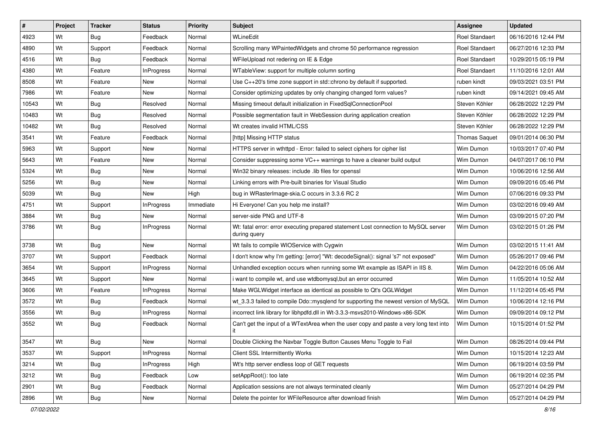| $\vert$ # | Project | <b>Tracker</b> | <b>Status</b>     | <b>Priority</b> | Subject                                                                                             | <b>Assignee</b>       | <b>Updated</b>      |
|-----------|---------|----------------|-------------------|-----------------|-----------------------------------------------------------------------------------------------------|-----------------------|---------------------|
| 4923      | Wt      | Bug            | Feedback          | Normal          | WLineEdit                                                                                           | <b>Roel Standaert</b> | 06/16/2016 12:44 PM |
| 4890      | Wt      | Support        | Feedback          | Normal          | Scrolling many WPaintedWidgets and chrome 50 performance regression                                 | Roel Standaert        | 06/27/2016 12:33 PM |
| 4516      | Wt      | Bug            | Feedback          | Normal          | WFileUpload not redering on IE & Edge                                                               | Roel Standaert        | 10/29/2015 05:19 PM |
| 4380      | Wt      | Feature        | <b>InProgress</b> | Normal          | WTableView: support for multiple column sorting                                                     | Roel Standaert        | 11/10/2016 12:01 AM |
| 8508      | Wt      | Feature        | <b>New</b>        | Normal          | Use C++20's time zone support in std::chrono by default if supported.                               | ruben kindt           | 09/03/2021 03:51 PM |
| 7986      | Wt      | Feature        | New               | Normal          | Consider optimizing updates by only changing changed form values?                                   | ruben kindt           | 09/14/2021 09:45 AM |
| 10543     | Wt      | Bug            | Resolved          | Normal          | Missing timeout default initialization in FixedSqlConnectionPool                                    | Steven Köhler         | 06/28/2022 12:29 PM |
| 10483     | Wt      | Bug            | Resolved          | Normal          | Possible segmentation fault in WebSession during application creation                               | Steven Köhler         | 06/28/2022 12:29 PM |
| 10482     | Wt      | Bug            | Resolved          | Normal          | Wt creates invalid HTML/CSS                                                                         | Steven Köhler         | 06/28/2022 12:29 PM |
| 3541      | Wt      | Feature        | Feedback          | Normal          | [http] Missing HTTP status                                                                          | <b>Thomas Saquet</b>  | 09/01/2014 06:30 PM |
| 5963      | Wt      | Support        | New               | Normal          | HTTPS server in wthttpd - Error: failed to select ciphers for cipher list                           | Wim Dumon             | 10/03/2017 07:40 PM |
| 5643      | Wt      | Feature        | New               | Normal          | Consider suppressing some VC++ warnings to have a cleaner build output                              | Wim Dumon             | 04/07/2017 06:10 PM |
| 5324      | Wt      | Bug            | New               | Normal          | Win32 binary releases: include .lib files for openssl                                               | Wim Dumon             | 10/06/2016 12:56 AM |
| 5256      | Wt      | Bug            | New               | Normal          | Linking errors with Pre-built binaries for Visual Studio                                            | Wim Dumon             | 09/09/2016 05:46 PM |
| 5039      | Wt      | Bug            | New               | High            | bug in WRasterImage-skia.C occurs in 3.3.6 RC 2                                                     | Wim Dumon             | 07/06/2016 09:33 PM |
| 4751      | Wt      | Support        | InProgress        | Immediate       | Hi Everyone! Can you help me install?                                                               | Wim Dumon             | 03/02/2016 09:49 AM |
| 3884      | Wt      | Bug            | New               | Normal          | server-side PNG and UTF-8                                                                           | Wim Dumon             | 03/09/2015 07:20 PM |
| 3786      | Wt      | Bug            | InProgress        | Normal          | Wt: fatal error: error executing prepared statement Lost connection to MySQL server<br>during query | Wim Dumon             | 03/02/2015 01:26 PM |
| 3738      | Wt      | <b>Bug</b>     | New               | Normal          | Wt fails to compile WIOService with Cygwin                                                          | Wim Dumon             | 03/02/2015 11:41 AM |
| 3707      | Wt      | Support        | Feedback          | Normal          | I don't know why I'm getting: [error] "Wt: decodeSignal(): signal 's7' not exposed"                 | Wim Dumon             | 05/26/2017 09:46 PM |
| 3654      | Wt      | Support        | <b>InProgress</b> | Normal          | Unhandled exception occurs when running some Wt example as ISAPI in IIS 8.                          | Wim Dumon             | 04/22/2016 05:06 AM |
| 3645      | Wt      | Support        | New               | Normal          | i want to compile wt, and use wtdbomysql, but an error occurred                                     | Wim Dumon             | 11/05/2014 10:52 AM |
| 3606      | Wt      | Feature        | InProgress        | Normal          | Make WGLWidget interface as identical as possible to Qt's QGLWidget                                 | Wim Dumon             | 11/12/2014 05:45 PM |
| 3572      | Wt      | Bug            | Feedback          | Normal          | wt_3.3.3 failed to compile Ddo::mysqlend for supporting the newest version of MySQL                 | Wim Dumon             | 10/06/2014 12:16 PM |
| 3556      | Wt      | Bug            | InProgress        | Normal          | incorrect link library for libhpdfd.dll in Wt-3.3.3-msvs2010-Windows-x86-SDK                        | Wim Dumon             | 09/09/2014 09:12 PM |
| 3552      | Wt      | Bug            | Feedback          | Normal          | Can't get the input of a WTextArea when the user copy and paste a very long text into<br>it         | Wim Dumon             | 10/15/2014 01:52 PM |
| 3547      | Wt      | Bug            | New               | Normal          | Double Clicking the Navbar Toggle Button Causes Menu Toggle to Fail                                 | Wim Dumon             | 08/26/2014 09:44 PM |
| 3537      | Wt      | Support        | <b>InProgress</b> | Normal          | Client SSL Intermittently Works                                                                     | Wim Dumon             | 10/15/2014 12:23 AM |
| 3214      | Wt      | Bug            | InProgress        | High            | Wt's http server endless loop of GET requests                                                       | Wim Dumon             | 06/19/2014 03:59 PM |
| 3212      | Wt      | Bug            | Feedback          | Low             | setAppRoot(): too late                                                                              | Wim Dumon             | 06/19/2014 02:35 PM |
| 2901      | Wt      | Bug            | Feedback          | Normal          | Application sessions are not always terminated cleanly                                              | Wim Dumon             | 05/27/2014 04:29 PM |
| 2896      | Wt      | <b>Bug</b>     | New               | Normal          | Delete the pointer for WFileResource after download finish                                          | Wim Dumon             | 05/27/2014 04:29 PM |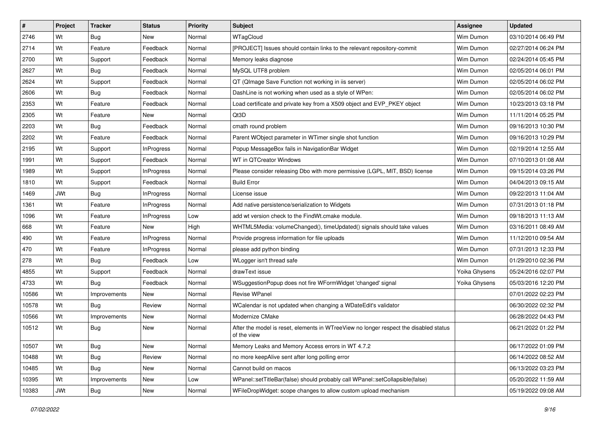| $\vert$ # | Project    | <b>Tracker</b> | <b>Status</b>     | <b>Priority</b> | <b>Subject</b>                                                                                       | Assignee      | <b>Updated</b>      |
|-----------|------------|----------------|-------------------|-----------------|------------------------------------------------------------------------------------------------------|---------------|---------------------|
| 2746      | Wt         | Bug            | New               | Normal          | WTagCloud                                                                                            | Wim Dumon     | 03/10/2014 06:49 PM |
| 2714      | Wt         | Feature        | Feedback          | Normal          | [PROJECT] Issues should contain links to the relevant repository-commit                              | Wim Dumon     | 02/27/2014 06:24 PM |
| 2700      | Wt         | Support        | Feedback          | Normal          | Memory leaks diagnose                                                                                | Wim Dumon     | 02/24/2014 05:45 PM |
| 2627      | Wt         | Bug            | Feedback          | Normal          | MySQL UTF8 problem                                                                                   | Wim Dumon     | 02/05/2014 06:01 PM |
| 2624      | Wt         | Support        | Feedback          | Normal          | QT (QImage Save Function not working in iis server)                                                  | Wim Dumon     | 02/05/2014 06:02 PM |
| 2606      | Wt         | Bug            | Feedback          | Normal          | DashLine is not working when used as a style of WPen:                                                | Wim Dumon     | 02/05/2014 06:02 PM |
| 2353      | Wt         | Feature        | Feedback          | Normal          | Load certificate and private key from a X509 object and EVP_PKEY object                              | Wim Dumon     | 10/23/2013 03:18 PM |
| 2305      | Wt         | Feature        | New               | Normal          | Qt3D                                                                                                 | Wim Dumon     | 11/11/2014 05:25 PM |
| 2203      | Wt         | Bug            | Feedback          | Normal          | cmath round problem                                                                                  | Wim Dumon     | 09/16/2013 10:30 PM |
| 2202      | Wt         | Feature        | Feedback          | Normal          | Parent WObject parameter in WTimer single shot function                                              | Wim Dumon     | 09/16/2013 10:29 PM |
| 2195      | Wt         | Support        | <b>InProgress</b> | Normal          | Popup MessageBox fails in NavigationBar Widget                                                       | Wim Dumon     | 02/19/2014 12:55 AM |
| 1991      | Wt         | Support        | Feedback          | Normal          | WT in QTCreator Windows                                                                              | Wim Dumon     | 07/10/2013 01:08 AM |
| 1989      | Wt         | Support        | <b>InProgress</b> | Normal          | Please consider releasing Dbo with more permissive (LGPL, MIT, BSD) license                          | Wim Dumon     | 09/15/2014 03:26 PM |
| 1810      | Wt         | Support        | Feedback          | Normal          | <b>Build Error</b>                                                                                   | Wim Dumon     | 04/04/2013 09:15 AM |
| 1469      | <b>JWt</b> | Bug            | <b>InProgress</b> | Normal          | License issue                                                                                        | Wim Dumon     | 09/22/2013 11:04 AM |
| 1361      | Wt         | Feature        | <b>InProgress</b> | Normal          | Add native persistence/serialization to Widgets                                                      | Wim Dumon     | 07/31/2013 01:18 PM |
| 1096      | Wt         | Feature        | <b>InProgress</b> | Low             | add wt version check to the FindWt.cmake module.                                                     | Wim Dumon     | 09/18/2013 11:13 AM |
| 668       | Wt         | Feature        | <b>New</b>        | High            | WHTML5Media: volumeChanged(), timeUpdated() signals should take values                               | Wim Dumon     | 03/16/2011 08:49 AM |
| 490       | Wt         | Feature        | <b>InProgress</b> | Normal          | Provide progress information for file uploads                                                        | Wim Dumon     | 11/12/2010 09:54 AM |
| 470       | Wt         | Feature        | <b>InProgress</b> | Normal          | please add python binding                                                                            | Wim Dumon     | 07/31/2013 12:33 PM |
| 278       | Wt         | Bug            | Feedback          | Low             | WLogger isn't thread safe                                                                            | Wim Dumon     | 01/29/2010 02:36 PM |
| 4855      | Wt         | Support        | Feedback          | Normal          | drawText issue                                                                                       | Yoika Ghysens | 05/24/2016 02:07 PM |
| 4733      | Wt         | Bug            | Feedback          | Normal          | WSuggestionPopup does not fire WFormWidget 'changed' signal                                          | Yoika Ghysens | 05/03/2016 12:20 PM |
| 10586     | Wt         | Improvements   | New               | Normal          | Revise WPanel                                                                                        |               | 07/01/2022 02:23 PM |
| 10578     | Wt         | Bug            | Review            | Normal          | WCalendar is not updated when changing a WDateEdit's validator                                       |               | 06/30/2022 02:32 PM |
| 10566     | Wt         | Improvements   | New               | Normal          | Modernize CMake                                                                                      |               | 06/28/2022 04:43 PM |
| 10512     | Wt         | Bug            | New               | Normal          | After the model is reset, elements in WTreeView no longer respect the disabled status<br>of the view |               | 06/21/2022 01:22 PM |
| 10507     | Wt         | Bug            | New               | Normal          | Memory Leaks and Memory Access errors in WT 4.7.2                                                    |               | 06/17/2022 01:09 PM |
| 10488     | Wt         | <b>Bug</b>     | Review            | Normal          | no more keepAlive sent after long polling error                                                      |               | 06/14/2022 08:52 AM |
| 10485     | Wt         | <b>Bug</b>     | New               | Normal          | Cannot build on macos                                                                                |               | 06/13/2022 03:23 PM |
| 10395     | Wt         | Improvements   | New               | Low             | WPanel::setTitleBar(false) should probably call WPanel::setCollapsible(false)                        |               | 05/20/2022 11:59 AM |
| 10383     | JWt        | <b>Bug</b>     | New               | Normal          | WFileDropWidget: scope changes to allow custom upload mechanism                                      |               | 05/19/2022 09:08 AM |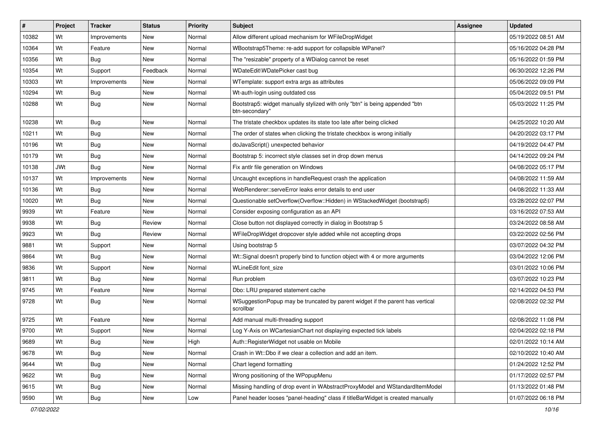| #     | Project | <b>Tracker</b> | <b>Status</b> | <b>Priority</b> | <b>Subject</b>                                                                                | <b>Assignee</b> | <b>Updated</b>      |
|-------|---------|----------------|---------------|-----------------|-----------------------------------------------------------------------------------------------|-----------------|---------------------|
| 10382 | Wt      | Improvements   | New           | Normal          | Allow different upload mechanism for WFileDropWidget                                          |                 | 05/19/2022 08:51 AM |
| 10364 | Wt      | Feature        | <b>New</b>    | Normal          | WBootstrap5Theme: re-add support for collapsible WPanel?                                      |                 | 05/16/2022 04:28 PM |
| 10356 | Wt      | Bug            | New           | Normal          | The "resizable" property of a WDialog cannot be reset                                         |                 | 05/16/2022 01:59 PM |
| 10354 | Wt      | Support        | Feedback      | Normal          | WDateEdit\WDatePicker cast bug                                                                |                 | 06/30/2022 12:26 PM |
| 10303 | Wt      | Improvements   | New           | Normal          | WTemplate: support extra args as attributes                                                   |                 | 05/06/2022 09:09 PM |
| 10294 | Wt      | <b>Bug</b>     | <b>New</b>    | Normal          | Wt-auth-login using outdated css                                                              |                 | 05/04/2022 09:51 PM |
| 10288 | Wt      | Bug            | New           | Normal          | Bootstrap5: widget manually stylized with only "btn" is being appended "btn<br>btn-secondary" |                 | 05/03/2022 11:25 PM |
| 10238 | Wt      | Bug            | New           | Normal          | The tristate checkbox updates its state too late after being clicked                          |                 | 04/25/2022 10:20 AM |
| 10211 | Wt      | Bug            | <b>New</b>    | Normal          | The order of states when clicking the tristate checkbox is wrong initially                    |                 | 04/20/2022 03:17 PM |
| 10196 | Wt      | <b>Bug</b>     | New           | Normal          | doJavaScript() unexpected behavior                                                            |                 | 04/19/2022 04:47 PM |
| 10179 | Wt      | Bug            | <b>New</b>    | Normal          | Bootstrap 5: incorrect style classes set in drop down menus                                   |                 | 04/14/2022 09:24 PM |
| 10138 | JWt     | Bug            | <b>New</b>    | Normal          | Fix antlr file generation on Windows                                                          |                 | 04/08/2022 05:17 PM |
| 10137 | Wt      | Improvements   | New           | Normal          | Uncaught exceptions in handleRequest crash the application                                    |                 | 04/08/2022 11:59 AM |
| 10136 | Wt      | Bug            | <b>New</b>    | Normal          | WebRenderer::serveError leaks error details to end user                                       |                 | 04/08/2022 11:33 AM |
| 10020 | Wt      | Bug            | New           | Normal          | Questionable setOverflow(Overflow::Hidden) in WStackedWidget (bootstrap5)                     |                 | 03/28/2022 02:07 PM |
| 9939  | Wt      | Feature        | <b>New</b>    | Normal          | Consider exposing configuration as an API                                                     |                 | 03/16/2022 07:53 AM |
| 9938  | Wt      | Bug            | Review        | Normal          | Close button not displayed correctly in dialog in Bootstrap 5                                 |                 | 03/24/2022 08:58 AM |
| 9923  | Wt      | Bug            | Review        | Normal          | WFileDropWidget dropcover style added while not accepting drops                               |                 | 03/22/2022 02:56 PM |
| 9881  | Wt      | Support        | New           | Normal          | Using bootstrap 5                                                                             |                 | 03/07/2022 04:32 PM |
| 9864  | Wt      | Bug            | <b>New</b>    | Normal          | Wt::Signal doesn't properly bind to function object with 4 or more arguments                  |                 | 03/04/2022 12:06 PM |
| 9836  | Wt      | Support        | New           | Normal          | WLineEdit font size                                                                           |                 | 03/01/2022 10:06 PM |
| 9811  | Wt      | <b>Bug</b>     | New           | Normal          | Run problem                                                                                   |                 | 03/07/2022 10:23 PM |
| 9745  | Wt      | Feature        | New           | Normal          | Dbo: LRU prepared statement cache                                                             |                 | 02/14/2022 04:53 PM |
| 9728  | Wt      | Bug            | New           | Normal          | WSuggestionPopup may be truncated by parent widget if the parent has vertical<br>scrollbar    |                 | 02/08/2022 02:32 PM |
| 9725  | Wt      | Feature        | New           | Normal          | Add manual multi-threading support                                                            |                 | 02/08/2022 11:08 PM |
| 9700  | Wt      | Support        | <b>New</b>    | Normal          | Log Y-Axis on WCartesianChart not displaying expected tick labels                             |                 | 02/04/2022 02:18 PM |
| 9689  | Wt      | <b>Bug</b>     | New           | High            | Auth::RegisterWidget not usable on Mobile                                                     |                 | 02/01/2022 10:14 AM |
| 9678  | Wt      | <b>Bug</b>     | New           | Normal          | Crash in Wt::Dbo if we clear a collection and add an item.                                    |                 | 02/10/2022 10:40 AM |
| 9644  | Wt      | Bug            | New           | Normal          | Chart legend formatting                                                                       |                 | 01/24/2022 12:52 PM |
| 9622  | Wt      | <b>Bug</b>     | New           | Normal          | Wrong positioning of the WPopupMenu                                                           |                 | 01/17/2022 02:57 PM |
| 9615  | Wt      | <b>Bug</b>     | New           | Normal          | Missing handling of drop event in WAbstractProxyModel and WStandardItemModel                  |                 | 01/13/2022 01:48 PM |
| 9590  | Wt      | <b>Bug</b>     | New           | Low             | Panel header looses "panel-heading" class if titleBarWidget is created manually               |                 | 01/07/2022 06:18 PM |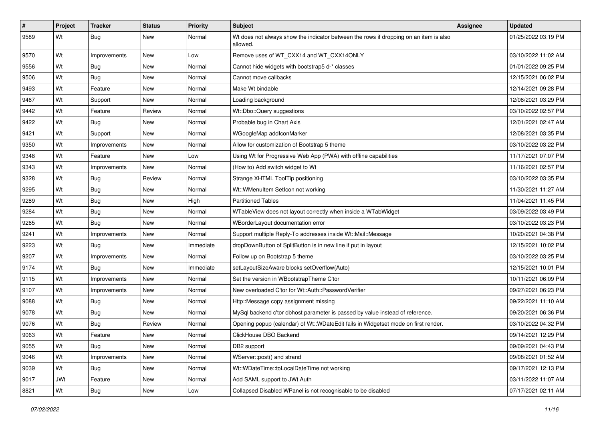| $\vert$ # | Project | <b>Tracker</b> | <b>Status</b> | <b>Priority</b> | Subject                                                                                           | Assignee | <b>Updated</b>      |
|-----------|---------|----------------|---------------|-----------------|---------------------------------------------------------------------------------------------------|----------|---------------------|
| 9589      | Wt      | Bug            | New           | Normal          | Wt does not always show the indicator between the rows if dropping on an item is also<br>allowed. |          | 01/25/2022 03:19 PM |
| 9570      | Wt      | Improvements   | New           | Low             | Remove uses of WT CXX14 and WT CXX14ONLY                                                          |          | 03/10/2022 11:02 AM |
| 9556      | Wt      | <b>Bug</b>     | <b>New</b>    | Normal          | Cannot hide widgets with bootstrap5 d-* classes                                                   |          | 01/01/2022 09:25 PM |
| 9506      | Wt      | Bug            | New           | Normal          | Cannot move callbacks                                                                             |          | 12/15/2021 06:02 PM |
| 9493      | Wt      | Feature        | New           | Normal          | Make Wt bindable                                                                                  |          | 12/14/2021 09:28 PM |
| 9467      | Wt      | Support        | New           | Normal          | Loading background                                                                                |          | 12/08/2021 03:29 PM |
| 9442      | Wt      | Feature        | Review        | Normal          | Wt::Dbo::Query suggestions                                                                        |          | 03/10/2022 02:57 PM |
| 9422      | Wt      | Bug            | New           | Normal          | Probable bug in Chart Axis                                                                        |          | 12/01/2021 02:47 AM |
| 9421      | Wt      | Support        | New           | Normal          | WGoogleMap addIconMarker                                                                          |          | 12/08/2021 03:35 PM |
| 9350      | Wt      | Improvements   | New           | Normal          | Allow for customization of Bootstrap 5 theme                                                      |          | 03/10/2022 03:22 PM |
| 9348      | Wt      | Feature        | New           | Low             | Using Wt for Progressive Web App (PWA) with offline capabilities                                  |          | 11/17/2021 07:07 PM |
| 9343      | Wt      | Improvements   | New           | Normal          | (How to) Add switch widget to Wt                                                                  |          | 11/16/2021 02:57 PM |
| 9328      | Wt      | Bug            | Review        | Normal          | Strange XHTML ToolTip positioning                                                                 |          | 03/10/2022 03:35 PM |
| 9295      | Wt      | Bug            | <b>New</b>    | Normal          | Wt:: WMenuItem SetIcon not working                                                                |          | 11/30/2021 11:27 AM |
| 9289      | Wt      | Bug            | New           | High            | <b>Partitioned Tables</b>                                                                         |          | 11/04/2021 11:45 PM |
| 9284      | Wt      | Bug            | New           | Normal          | WTableView does not layout correctly when inside a WTabWidget                                     |          | 03/09/2022 03:49 PM |
| 9265      | Wt      | Bug            | New           | Normal          | WBorderLayout documentation error                                                                 |          | 03/10/2022 03:23 PM |
| 9241      | Wt      | Improvements   | New           | Normal          | Support multiple Reply-To addresses inside Wt::Mail::Message                                      |          | 10/20/2021 04:38 PM |
| 9223      | Wt      | Bug            | New           | Immediate       | dropDownButton of SplitButton is in new line if put in layout                                     |          | 12/15/2021 10:02 PM |
| 9207      | Wt      | Improvements   | New           | Normal          | Follow up on Bootstrap 5 theme                                                                    |          | 03/10/2022 03:25 PM |
| 9174      | Wt      | Bug            | New           | Immediate       | setLayoutSizeAware blocks setOverflow(Auto)                                                       |          | 12/15/2021 10:01 PM |
| 9115      | Wt      | Improvements   | <b>New</b>    | Normal          | Set the version in WBootstrapTheme C'tor                                                          |          | 10/11/2021 06:09 PM |
| 9107      | Wt      | Improvements   | New           | Normal          | New overloaded C'tor for Wt::Auth::PasswordVerifier                                               |          | 09/27/2021 06:23 PM |
| 9088      | Wt      | Bug            | New           | Normal          | Http::Message copy assignment missing                                                             |          | 09/22/2021 11:10 AM |
| 9078      | Wt      | Bug            | New           | Normal          | MySql backend c'tor dbhost parameter is passed by value instead of reference.                     |          | 09/20/2021 06:36 PM |
| 9076      | Wt      | Bug            | Review        | Normal          | Opening popup (calendar) of Wt::WDateEdit fails in Widgetset mode on first render.                |          | 03/10/2022 04:32 PM |
| 9063      | Wt      | Feature        | New           | Normal          | ClickHouse DBO Backend                                                                            |          | 09/14/2021 12:29 PM |
| 9055      | Wt      | Bug            | New           | Normal          | DB2 support                                                                                       |          | 09/09/2021 04:43 PM |
| 9046      | Wt      | Improvements   | New           | Normal          | WServer::post() and strand                                                                        |          | 09/08/2021 01:52 AM |
| 9039      | Wt      | Bug            | New           | Normal          | Wt::WDateTime::toLocalDateTime not working                                                        |          | 09/17/2021 12:13 PM |
| 9017      | JWt     | Feature        | New           | Normal          | Add SAML support to JWt Auth                                                                      |          | 03/11/2022 11:07 AM |
| 8821      | Wt      | <b>Bug</b>     | New           | Low             | Collapsed Disabled WPanel is not recognisable to be disabled                                      |          | 07/17/2021 02:11 AM |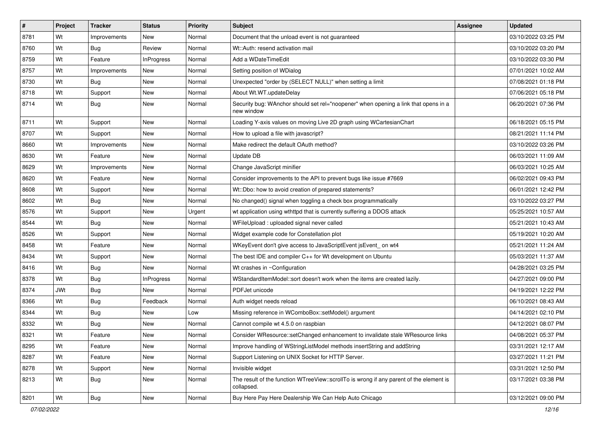| $\vert$ # | Project    | <b>Tracker</b> | <b>Status</b>     | <b>Priority</b> | Subject                                                                                               | <b>Assignee</b> | <b>Updated</b>      |
|-----------|------------|----------------|-------------------|-----------------|-------------------------------------------------------------------------------------------------------|-----------------|---------------------|
| 8781      | Wt         | Improvements   | New               | Normal          | Document that the unload event is not guaranteed                                                      |                 | 03/10/2022 03:25 PM |
| 8760      | Wt         | Bug            | Review            | Normal          | Wt::Auth: resend activation mail                                                                      |                 | 03/10/2022 03:20 PM |
| 8759      | Wt         | Feature        | <b>InProgress</b> | Normal          | Add a WDateTimeEdit                                                                                   |                 | 03/10/2022 03:30 PM |
| 8757      | Wt         | Improvements   | New               | Normal          | Setting position of WDialog                                                                           |                 | 07/01/2021 10:02 AM |
| 8730      | Wt         | Bug            | New               | Normal          | Unexpected "order by (SELECT NULL)" when setting a limit                                              |                 | 07/08/2021 01:18 PM |
| 8718      | Wt         | Support        | New               | Normal          | About Wt.WT.updateDelay                                                                               |                 | 07/06/2021 05:18 PM |
| 8714      | Wt         | Bug            | New               | Normal          | Security bug: WAnchor should set rel="noopener" when opening a link that opens in a<br>new window     |                 | 06/20/2021 07:36 PM |
| 8711      | Wt         | Support        | New               | Normal          | Loading Y-axis values on moving Live 2D graph using WCartesianChart                                   |                 | 06/18/2021 05:15 PM |
| 8707      | Wt         | Support        | <b>New</b>        | Normal          | How to upload a file with javascript?                                                                 |                 | 08/21/2021 11:14 PM |
| 8660      | Wt         | Improvements   | New               | Normal          | Make redirect the default OAuth method?                                                               |                 | 03/10/2022 03:26 PM |
| 8630      | Wt         | Feature        | New               | Normal          | Update DB                                                                                             |                 | 06/03/2021 11:09 AM |
| 8629      | Wt         | Improvements   | New               | Normal          | Change JavaScript minifier                                                                            |                 | 06/03/2021 10:25 AM |
| 8620      | Wt         | Feature        | New               | Normal          | Consider improvements to the API to prevent bugs like issue #7669                                     |                 | 06/02/2021 09:43 PM |
| 8608      | Wt         | Support        | New               | Normal          | Wt::Dbo: how to avoid creation of prepared statements?                                                |                 | 06/01/2021 12:42 PM |
| 8602      | Wt         | Bug            | New               | Normal          | No changed() signal when toggling a check box programmatically                                        |                 | 03/10/2022 03:27 PM |
| 8576      | Wt         | Support        | New               | Urgent          | wt application using wthttpd that is currently suffering a DDOS attack                                |                 | 05/25/2021 10:57 AM |
| 8544      | Wt         | Bug            | New               | Normal          | WFileUpload: uploaded signal never called                                                             |                 | 05/21/2021 10:43 AM |
| 8526      | Wt         | Support        | New               | Normal          | Widget example code for Constellation plot                                                            |                 | 05/19/2021 10:20 AM |
| 8458      | Wt         | Feature        | New               | Normal          | WKeyEvent don't give access to JavaScriptEvent jsEvent_on wt4                                         |                 | 05/21/2021 11:24 AM |
| 8434      | Wt         | Support        | New               | Normal          | The best IDE and compiler C++ for Wt development on Ubuntu                                            |                 | 05/03/2021 11:37 AM |
| 8416      | Wt         | Bug            | New               | Normal          | Wt crashes in ~Configuration                                                                          |                 | 04/28/2021 03:25 PM |
| 8378      | Wt         | Bug            | <b>InProgress</b> | Normal          | WStandardItemModel::sort doesn't work when the items are created lazily.                              |                 | 04/27/2021 09:00 PM |
| 8374      | <b>JWt</b> | <b>Bug</b>     | New               | Normal          | PDFJet unicode                                                                                        |                 | 04/19/2021 12:22 PM |
| 8366      | Wt         | <b>Bug</b>     | Feedback          | Normal          | Auth widget needs reload                                                                              |                 | 06/10/2021 08:43 AM |
| 8344      | Wt         | Bug            | New               | Low             | Missing reference in WComboBox::setModel() argument                                                   |                 | 04/14/2021 02:10 PM |
| 8332      | Wt         | <b>Bug</b>     | New               | Normal          | Cannot compile wt 4.5.0 on raspbian                                                                   |                 | 04/12/2021 08:07 PM |
| 8321      | Wt         | Feature        | New               | Normal          | Consider WResource::setChanged enhancement to invalidate stale WResource links                        |                 | 04/08/2021 05:37 PM |
| 8295      | Wt         | Feature        | <b>New</b>        | Normal          | Improve handling of WStringListModel methods insertString and addString                               |                 | 03/31/2021 12:17 AM |
| 8287      | Wt         | Feature        | New               | Normal          | Support Listening on UNIX Socket for HTTP Server.                                                     |                 | 03/27/2021 11:21 PM |
| 8278      | Wt         | Support        | New               | Normal          | Invisible widget                                                                                      |                 | 03/31/2021 12:50 PM |
| 8213      | Wt         | <b>Bug</b>     | New               | Normal          | The result of the function WTreeView::scrollTo is wrong if any parent of the element is<br>collapsed. |                 | 03/17/2021 03:38 PM |
| 8201      | Wt         | Bug            | New               | Normal          | Buy Here Pay Here Dealership We Can Help Auto Chicago                                                 |                 | 03/12/2021 09:00 PM |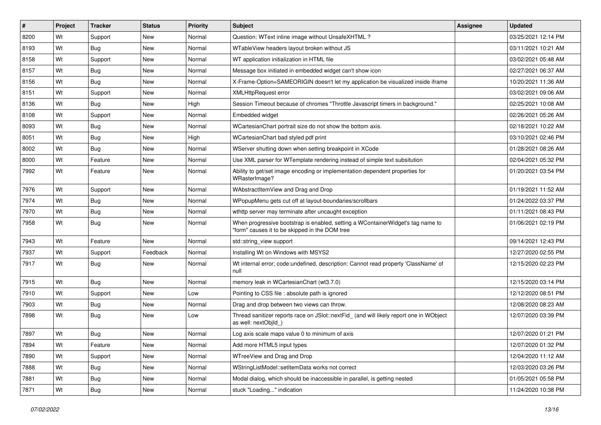| #    | Project | <b>Tracker</b> | <b>Status</b> | <b>Priority</b> | <b>Subject</b>                                                                                                                    | <b>Assignee</b> | <b>Updated</b>      |
|------|---------|----------------|---------------|-----------------|-----------------------------------------------------------------------------------------------------------------------------------|-----------------|---------------------|
| 8200 | Wt      | Support        | New           | Normal          | Question: WText inline image without UnsafeXHTML?                                                                                 |                 | 03/25/2021 12:14 PM |
| 8193 | Wt      | <b>Bug</b>     | <b>New</b>    | Normal          | WTableView headers layout broken without JS                                                                                       |                 | 03/11/2021 10:21 AM |
| 8158 | Wt      | Support        | New           | Normal          | WT application initialization in HTML file                                                                                        |                 | 03/02/2021 05:48 AM |
| 8157 | Wt      | Bug            | <b>New</b>    | Normal          | Message box initiated in embedded widget can't show icon                                                                          |                 | 02/27/2021 06:37 AM |
| 8156 | Wt      | Bug            | <b>New</b>    | Normal          | X-Frame-Option=SAMEORIGIN doesn't let my application be visualized inside iframe                                                  |                 | 10/20/2021 11:36 AM |
| 8151 | Wt      | Support        | <b>New</b>    | Normal          | <b>XMLHttpRequest error</b>                                                                                                       |                 | 03/02/2021 09:06 AM |
| 8136 | Wt      | <b>Bug</b>     | <b>New</b>    | High            | Session Timeout because of chromes "Throttle Javascript timers in background."                                                    |                 | 02/25/2021 10:08 AM |
| 8108 | Wt      | Support        | New           | Normal          | Embedded widget                                                                                                                   |                 | 02/26/2021 05:26 AM |
| 8093 | Wt      | Bug            | <b>New</b>    | Normal          | WCartesianChart portrait size do not show the bottom axis.                                                                        |                 | 02/18/2021 10:22 AM |
| 8051 | Wt      | Bug            | <b>New</b>    | High            | WCartesianChart bad styled pdf print                                                                                              |                 | 03/10/2021 02:46 PM |
| 8002 | Wt      | Bug            | <b>New</b>    | Normal          | WServer shutting down when setting breakpoint in XCode                                                                            |                 | 01/28/2021 08:26 AM |
| 8000 | Wt      | Feature        | <b>New</b>    | Normal          | Use XML parser for WTemplate rendering instead of simple text subsitution                                                         |                 | 02/04/2021 05:32 PM |
| 7992 | Wt      | Feature        | <b>New</b>    | Normal          | Ability to get/set image encoding or implementation dependent properties for<br>WRasterImage?                                     |                 | 01/20/2021 03:54 PM |
| 7976 | Wt      | Support        | <b>New</b>    | Normal          | WAbstractItemView and Drag and Drop                                                                                               |                 | 01/19/2021 11:52 AM |
| 7974 | Wt      | Bug            | New           | Normal          | WPopupMenu gets cut off at layout-boundaries/scrollbars                                                                           |                 | 01/24/2022 03:37 PM |
| 7970 | Wt      | Bug            | <b>New</b>    | Normal          | wthttp server may terminate after uncaught exception                                                                              |                 | 01/11/2021 08:43 PM |
| 7958 | Wt      | Bug            | New           | Normal          | When progressive bootstrap is enabled, setting a WContainerWidget's tag name to<br>"form" causes it to be skipped in the DOM tree |                 | 01/06/2021 02:19 PM |
| 7943 | Wt      | Feature        | <b>New</b>    | Normal          | std::string_view support                                                                                                          |                 | 09/14/2021 12:43 PM |
| 7937 | Wt      | Support        | Feedback      | Normal          | Installing Wt on Windows with MSYS2                                                                                               |                 | 12/27/2020 02:55 PM |
| 7917 | Wt      | Bug            | New           | Normal          | Wt internal error; code:undefined, description: Cannot read property 'ClassName' of<br>null                                       |                 | 12/15/2020 02:23 PM |
| 7915 | Wt      | <b>Bug</b>     | New           | Normal          | memory leak in WCartesianChart (wt3.7.0)                                                                                          |                 | 12/15/2020 03:14 PM |
| 7910 | Wt      | Support        | <b>New</b>    | Low             | Pointing to CSS file : absolute path is ignored                                                                                   |                 | 12/12/2020 08:51 PM |
| 7903 | Wt      | Bug            | New           | Normal          | Drag and drop between two views can throw.                                                                                        |                 | 12/08/2020 08:23 AM |
| 7898 | Wt      | Bug            | <b>New</b>    | Low             | Thread sanitizer reports race on JSlot::nextFid_ (and will likely report one in WObject<br>as well: nextObjld )                   |                 | 12/07/2020 03:39 PM |
| 7897 | Wt      | Bug            | <b>New</b>    | Normal          | Log axis scale maps value 0 to minimum of axis                                                                                    |                 | 12/07/2020 01:21 PM |
| 7894 | Wt      | Feature        | New           | Normal          | Add more HTML5 input types                                                                                                        |                 | 12/07/2020 01:32 PM |
| 7890 | Wt      | Support        | New           | Normal          | WTreeView and Drag and Drop                                                                                                       |                 | 12/04/2020 11:12 AM |
| 7888 | Wt      | Bug            | New           | Normal          | WStringListModel::setItemData works not correct                                                                                   |                 | 12/03/2020 03:26 PM |
| 7881 | Wt      | <b>Bug</b>     | New           | Normal          | Modal dialog, which should be inaccessible in parallel, is getting nested                                                         |                 | 01/05/2021 05:58 PM |
| 7871 | Wt      | Bug            | New           | Normal          | stuck "Loading" indication                                                                                                        |                 | 11/24/2020 10:38 PM |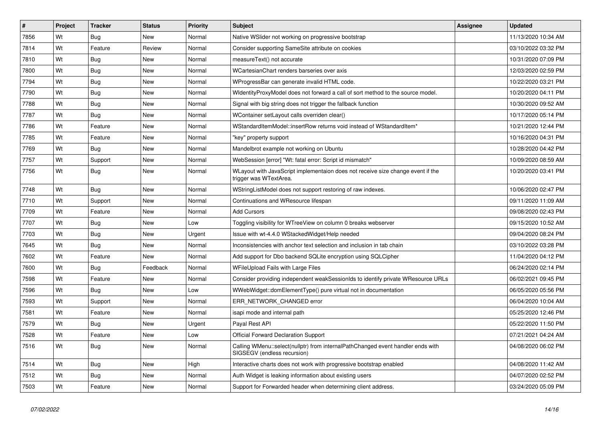| $\sharp$ | Project | <b>Tracker</b> | <b>Status</b> | <b>Priority</b> | <b>Subject</b>                                                                                                 | <b>Assignee</b> | <b>Updated</b>      |
|----------|---------|----------------|---------------|-----------------|----------------------------------------------------------------------------------------------------------------|-----------------|---------------------|
| 7856     | Wt      | Bug            | <b>New</b>    | Normal          | Native WSlider not working on progressive bootstrap                                                            |                 | 11/13/2020 10:34 AM |
| 7814     | Wt      | Feature        | Review        | Normal          | Consider supporting SameSite attribute on cookies                                                              |                 | 03/10/2022 03:32 PM |
| 7810     | Wt      | Bug            | <b>New</b>    | Normal          | measureText() not accurate                                                                                     |                 | 10/31/2020 07:09 PM |
| 7800     | Wt      | Bug            | <b>New</b>    | Normal          | WCartesianChart renders barseries over axis                                                                    |                 | 12/03/2020 02:59 PM |
| 7794     | Wt      | Bug            | <b>New</b>    | Normal          | WProgressBar can generate invalid HTML code.                                                                   |                 | 10/22/2020 03:21 PM |
| 7790     | Wt      | <b>Bug</b>     | <b>New</b>    | Normal          | WidentityProxyModel does not forward a call of sort method to the source model.                                |                 | 10/20/2020 04:11 PM |
| 7788     | Wt      | Bug            | <b>New</b>    | Normal          | Signal with big string does not trigger the fallback function                                                  |                 | 10/30/2020 09:52 AM |
| 7787     | Wt      | Bug            | <b>New</b>    | Normal          | WContainer setLayout calls overriden clear()                                                                   |                 | 10/17/2020 05:14 PM |
| 7786     | Wt      | Feature        | <b>New</b>    | Normal          | WStandardItemModel::insertRow returns void instead of WStandardItem*                                           |                 | 10/21/2020 12:44 PM |
| 7785     | Wt      | Feature        | <b>New</b>    | Normal          | "key" property support                                                                                         |                 | 10/16/2020 04:31 PM |
| 7769     | Wt      | Bug            | <b>New</b>    | Normal          | Mandelbrot example not working on Ubuntu                                                                       |                 | 10/28/2020 04:42 PM |
| 7757     | Wt      | Support        | New           | Normal          | WebSession [error] "Wt: fatal error: Script id mismatch"                                                       |                 | 10/09/2020 08:59 AM |
| 7756     | Wt      | <b>Bug</b>     | <b>New</b>    | Normal          | WLayout with JavaScript implementaion does not receive size change event if the<br>trigger was WTextArea.      |                 | 10/20/2020 03:41 PM |
| 7748     | Wt      | Bug            | <b>New</b>    | Normal          | WStringListModel does not support restoring of raw indexes.                                                    |                 | 10/06/2020 02:47 PM |
| 7710     | Wt      | Support        | <b>New</b>    | Normal          | Continuations and WResource lifespan                                                                           |                 | 09/11/2020 11:09 AM |
| 7709     | Wt      | Feature        | <b>New</b>    | Normal          | <b>Add Cursors</b>                                                                                             |                 | 09/08/2020 02:43 PM |
| 7707     | Wt      | Bug            | <b>New</b>    | Low             | Toggling visibility for WTreeView on column 0 breaks webserver                                                 |                 | 09/15/2020 10:52 AM |
| 7703     | Wt      | Bug            | New           | Urgent          | Issue with wt-4.4.0 WStackedWidget/Help needed                                                                 |                 | 09/04/2020 08:24 PM |
| 7645     | Wt      | Bug            | <b>New</b>    | Normal          | Inconsistencies with anchor text selection and inclusion in tab chain                                          |                 | 03/10/2022 03:28 PM |
| 7602     | Wt      | Feature        | <b>New</b>    | Normal          | Add support for Dbo backend SQLite encryption using SQLCipher                                                  |                 | 11/04/2020 04:12 PM |
| 7600     | Wt      | <b>Bug</b>     | Feedback      | Normal          | WFileUpload Fails with Large Files                                                                             |                 | 06/24/2020 02:14 PM |
| 7598     | Wt      | Feature        | <b>New</b>    | Normal          | Consider providing independent weakSessionIds to identify private WResource URLs                               |                 | 06/02/2021 09:45 PM |
| 7596     | Wt      | Bug            | <b>New</b>    | Low             | WWebWidget::domElementType() pure virtual not in documentation                                                 |                 | 06/05/2020 05:56 PM |
| 7593     | Wt      | Support        | <b>New</b>    | Normal          | ERR NETWORK CHANGED error                                                                                      |                 | 06/04/2020 10:04 AM |
| 7581     | Wt      | Feature        | <b>New</b>    | Normal          | isapi mode and internal path                                                                                   |                 | 05/25/2020 12:46 PM |
| 7579     | Wt      | Bug            | New           | Urgent          | Payal Rest API                                                                                                 |                 | 05/22/2020 11:50 PM |
| 7528     | Wt      | Feature        | <b>New</b>    | Low             | <b>Official Forward Declaration Support</b>                                                                    |                 | 07/21/2021 04:24 AM |
| 7516     | Wt      | <b>Bug</b>     | <b>New</b>    | Normal          | Calling WMenu::select(nullptr) from internalPathChanged event handler ends with<br>SIGSEGV (endless recursion) |                 | 04/08/2020 06:02 PM |
| 7514     | Wt      | Bug            | <b>New</b>    | High            | Interactive charts does not work with progressive bootstrap enabled                                            |                 | 04/08/2020 11:42 AM |
| 7512     | Wt      | Bug            | New           | Normal          | Auth Widget is leaking information about existing users                                                        |                 | 04/07/2020 02:52 PM |
| 7503     | Wt      | Feature        | <b>New</b>    | Normal          | Support for Forwarded header when determining client address.                                                  |                 | 03/24/2020 05:09 PM |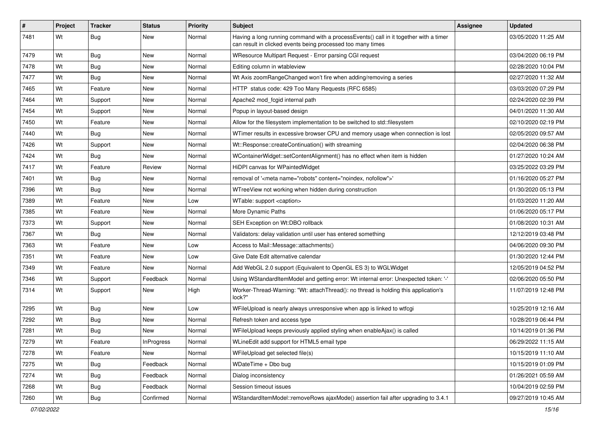| #    | Project | <b>Tracker</b> | <b>Status</b>     | <b>Priority</b> | Subject                                                                                                                                              | <b>Assignee</b> | <b>Updated</b>      |
|------|---------|----------------|-------------------|-----------------|------------------------------------------------------------------------------------------------------------------------------------------------------|-----------------|---------------------|
| 7481 | Wt      | Bug            | New               | Normal          | Having a long running command with a processEvents() call in it together with a timer<br>can result in clicked events being processed too many times |                 | 03/05/2020 11:25 AM |
| 7479 | Wt      | Bug            | New               | Normal          | WResource Multipart Request - Error parsing CGI request                                                                                              |                 | 03/04/2020 06:19 PM |
| 7478 | Wt      | Bug            | New               | Normal          | Editing column in wtableview                                                                                                                         |                 | 02/28/2020 10:04 PM |
| 7477 | Wt      | Bug            | New               | Normal          | Wt Axis zoomRangeChanged won't fire when adding/removing a series                                                                                    |                 | 02/27/2020 11:32 AM |
| 7465 | Wt      | Feature        | New               | Normal          | HTTP status code: 429 Too Many Requests (RFC 6585)                                                                                                   |                 | 03/03/2020 07:29 PM |
| 7464 | Wt      | Support        | New               | Normal          | Apache2 mod fcgid internal path                                                                                                                      |                 | 02/24/2020 02:39 PM |
| 7454 | Wt      | Support        | <b>New</b>        | Normal          | Popup in layout-based design                                                                                                                         |                 | 04/01/2020 11:30 AM |
| 7450 | Wt      | Feature        | New               | Normal          | Allow for the filesystem implementation to be switched to std::filesystem                                                                            |                 | 02/10/2020 02:19 PM |
| 7440 | Wt      | <b>Bug</b>     | <b>New</b>        | Normal          | WTimer results in excessive browser CPU and memory usage when connection is lost                                                                     |                 | 02/05/2020 09:57 AM |
| 7426 | Wt      | Support        | New               | Normal          | Wt::Response::createContinuation() with streaming                                                                                                    |                 | 02/04/2020 06:38 PM |
| 7424 | Wt      | Bug            | New               | Normal          | WContainerWidget::setContentAlignment() has no effect when item is hidden                                                                            |                 | 01/27/2020 10:24 AM |
| 7417 | Wt      | Feature        | Review            | Normal          | HiDPI canvas for WPaintedWidget                                                                                                                      |                 | 03/25/2022 03:29 PM |
| 7401 | Wt      | <b>Bug</b>     | New               | Normal          | removal of ' <meta content="noindex, nofollow" name="robots"/> '                                                                                     |                 | 01/16/2020 05:27 PM |
| 7396 | Wt      | Bug            | New               | Normal          | WTreeView not working when hidden during construction                                                                                                |                 | 01/30/2020 05:13 PM |
| 7389 | Wt      | Feature        | New               | Low             | WTable: support <caption></caption>                                                                                                                  |                 | 01/03/2020 11:20 AM |
| 7385 | Wt      | Feature        | New               | Normal          | More Dynamic Paths                                                                                                                                   |                 | 01/06/2020 05:17 PM |
| 7373 | Wt      | Support        | New               | Normal          | SEH Exception on Wt:DBO rollback                                                                                                                     |                 | 01/08/2020 10:31 AM |
| 7367 | Wt      | <b>Bug</b>     | New               | Normal          | Validators: delay validation until user has entered something                                                                                        |                 | 12/12/2019 03:48 PM |
| 7363 | Wt      | Feature        | New               | Low             | Access to Mail::Message::attachments()                                                                                                               |                 | 04/06/2020 09:30 PM |
| 7351 | Wt      | Feature        | <b>New</b>        | Low             | Give Date Edit alternative calendar                                                                                                                  |                 | 01/30/2020 12:44 PM |
| 7349 | Wt      | Feature        | New               | Normal          | Add WebGL 2.0 support (Equivalent to OpenGL ES 3) to WGLWidget                                                                                       |                 | 12/05/2019 04:52 PM |
| 7346 | Wt      | Support        | Feedback          | Normal          | Using WStandardItemModel and getting error: Wt internal error: Unexpected token: '-'                                                                 |                 | 02/06/2020 05:50 PM |
| 7314 | Wt      | Support        | New               | High            | Worker-Thread-Warning: "Wt: attachThread(): no thread is holding this application's<br>lock?"                                                        |                 | 11/07/2019 12:48 PM |
| 7295 | Wt      | Bug            | New               | Low             | WFileUpload is nearly always unresponsive when app is linked to wtfcgi                                                                               |                 | 10/25/2019 12:16 AM |
| 7292 | Wt      | Bug            | New               | Normal          | Refresh token and access type                                                                                                                        |                 | 10/28/2019 06:44 PM |
| 7281 | Wt      | <b>Bug</b>     | New               | Normal          | WFileUpload keeps previously applied styling when enableAjax() is called                                                                             |                 | 10/14/2019 01:36 PM |
| 7279 | Wt      | Feature        | <b>InProgress</b> | Normal          | WLineEdit add support for HTML5 email type                                                                                                           |                 | 06/29/2022 11:15 AM |
| 7278 | Wt      | Feature        | New               | Normal          | WFileUpload get selected file(s)                                                                                                                     |                 | 10/15/2019 11:10 AM |
| 7275 | Wt      | Bug            | Feedback          | Normal          | WDateTime + Dbo bug                                                                                                                                  |                 | 10/15/2019 01:09 PM |
| 7274 | Wt      | <b>Bug</b>     | Feedback          | Normal          | Dialog inconsistency                                                                                                                                 |                 | 01/26/2021 05:59 AM |
| 7268 | Wt      | Bug            | Feedback          | Normal          | Session timeout issues                                                                                                                               |                 | 10/04/2019 02:59 PM |
| 7260 | Wt      | <b>Bug</b>     | Confirmed         | Normal          | WStandardItemModel::removeRows ajaxMode() assertion fail after upgrading to 3.4.1                                                                    |                 | 09/27/2019 10:45 AM |